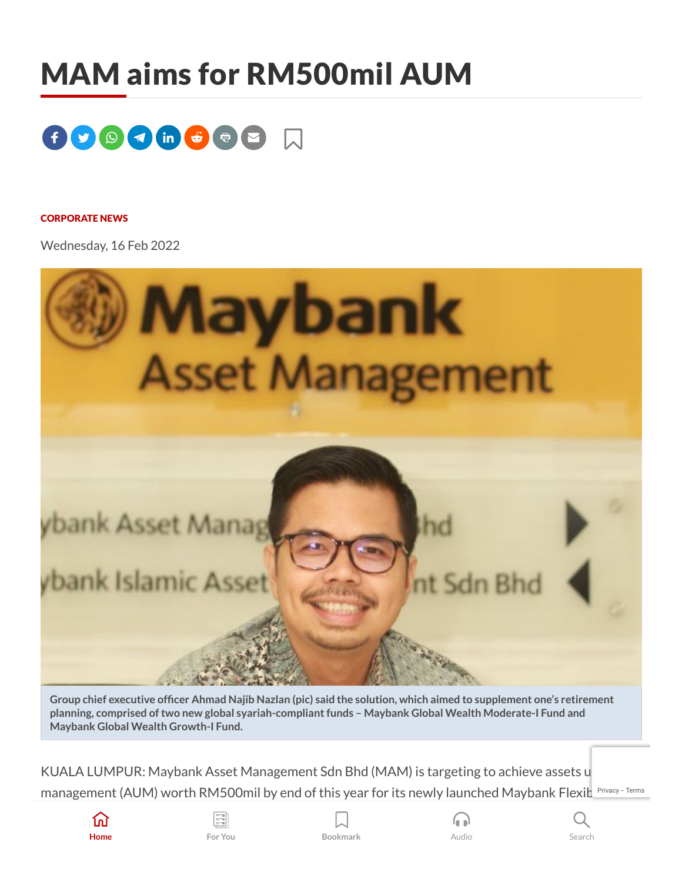## MAM aims for RM500mil AUM



## [CORPORATE](https://www.thestar.com.my/tag/corporate+news) NEWS

Wednesday, 16 Feb 2022



Group chief executive officer Ahmad Najib Nazlan (pic) said the solution, which aimed to supplement one's retirement **planning, comprised oftwo new global syariah-compliantfunds – Maybank Global Wealth Moderate-I Fund and Maybank Global Wealth Growth-I Fund.**

KUALA LUMPUR: Maybank Asset Management Sdn Bhd (MAM) is targeting to achieve assets u management (AUM) worth RM500mil by end of this year for its newly launched Maybank Flexi $\mathsf{L}^\mathsf{Privacy-Terms}$  $\mathsf{L}^\mathsf{Privacy-Terms}$  $\mathsf{L}^\mathsf{Privacy-Terms}$